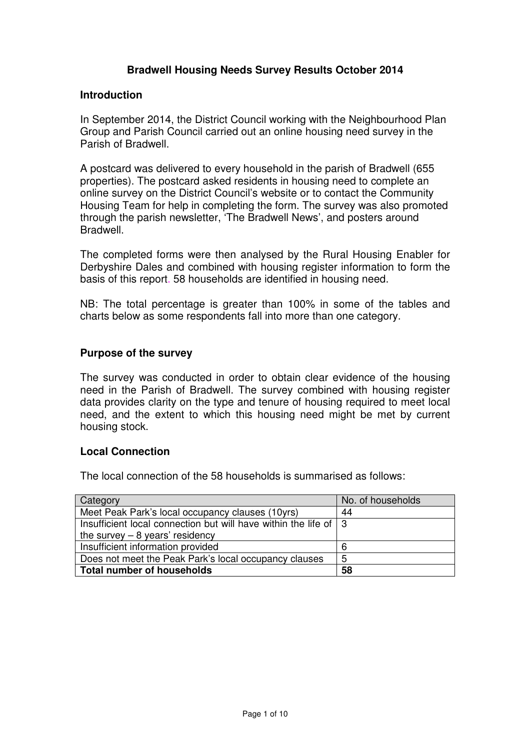### **Bradwell Housing Needs Survey Results October 2014**

#### **Introduction**

 In September 2014, the District Council working with the Neighbourhood Plan Group and Parish Council carried out an online housing need survey in the Parish of Bradwell.

 A postcard was delivered to every household in the parish of Bradwell (655 properties). The postcard asked residents in housing need to complete an online survey on the District Council's website or to contact the Community Housing Team for help in completing the form. The survey was also promoted through the parish newsletter, 'The Bradwell News', and posters around Bradwell.

Bradwell.<br>The completed forms were then analysed by the Rural Housing Enabler for Derbyshire Dales and combined with housing register information to form the basis of this report. 58 households are identified in housing need.

 NB: The total percentage is greater than 100% in some of the tables and charts below as some respondents fall into more than one category.

#### **Purpose of the survey**

 The survey was conducted in order to obtain clear evidence of the housing need in the Parish of Bradwell. The survey combined with housing register data provides clarity on the type and tenure of housing required to meet local need, and the extent to which this housing need might be met by current housing stock.

#### **Local Connection**

The local connection of the 58 households is summarised as follows:

| Category                                                           | No. of households |
|--------------------------------------------------------------------|-------------------|
| Meet Peak Park's local occupancy clauses (10yrs)                   | 44                |
| Insufficient local connection but will have within the life of   3 |                   |
| the survey $-8$ years' residency                                   |                   |
| Insufficient information provided                                  | 6                 |
| Does not meet the Peak Park's local occupancy clauses              | 5                 |
| Total number of households                                         | 58                |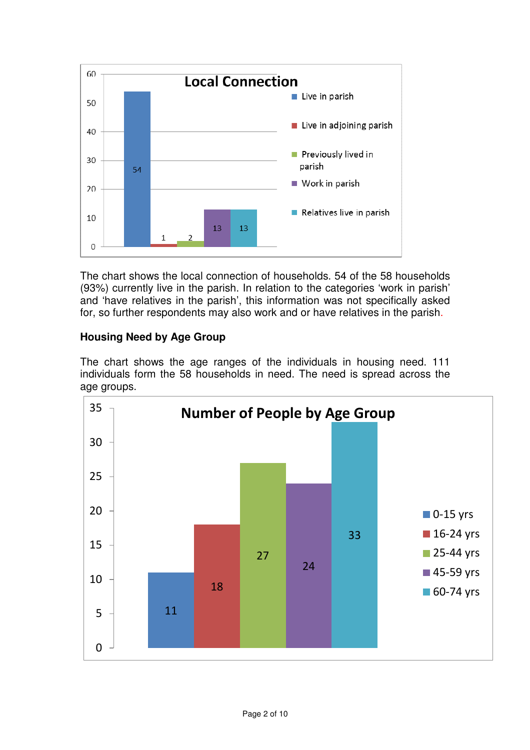

 The chart shows the local connection of households. 54 of the 58 households (93%) currently live in the parish. In relation to the categories 'work in parish' and 'have relatives in the parish', this information was not specifically asked for, so further respondents may also work and or have relatives in the parish.

# **Housing Need by Age Group**

 The chart shows the age ranges of the individuals in housing need. 111 individuals form the 58 households in need. The need is spread across the age groups.

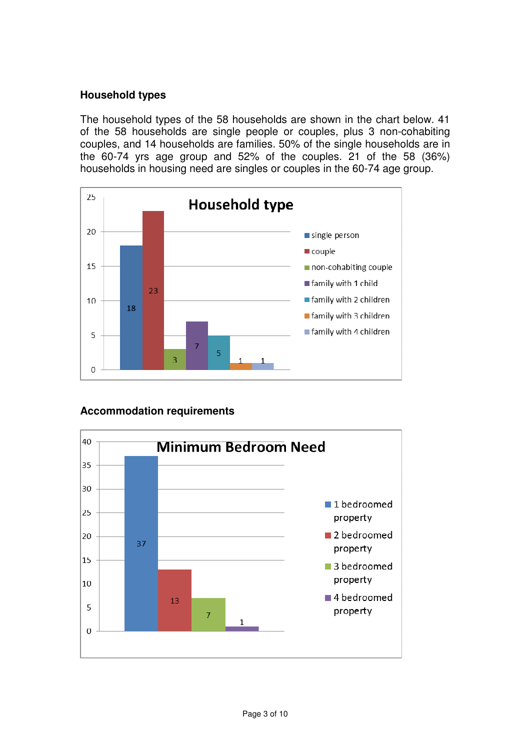### **Household types**

 The household types of the 58 households are shown in the chart below. 41 of the 58 households are single people or couples, plus 3 non-cohabiting couples, and 14 households are families. 50% of the single households are in the 60-74 yrs age group and 52% of the couples. 21 of the 58 (36%) households in housing need are singles or couples in the 60-74 age group.



### **Accommodation requirements**

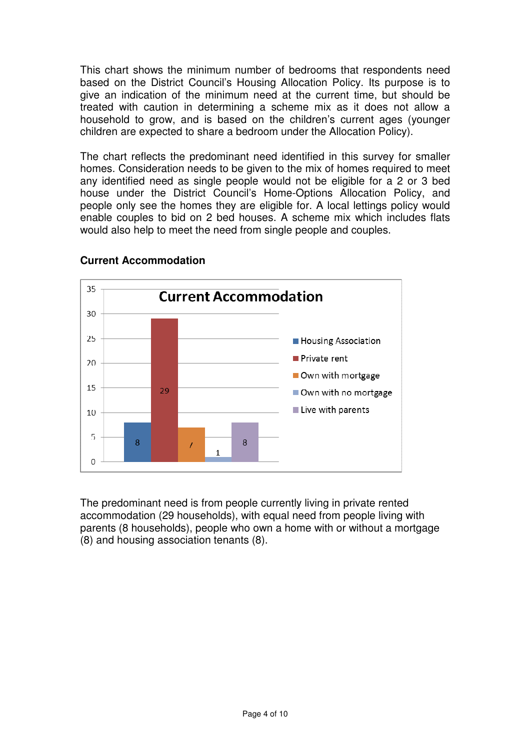This chart shows the minimum number of bedrooms that respondents need based on the District Council's Housing Allocation Policy. Its purpose is to give an indication of the minimum need at the current time, but should be treated with caution in determining a scheme mix as it does not allow a household to grow, and is based on the children's current ages (younger children are expected to share a bedroom under the Allocation Policy).

 The chart reflects the predominant need identified in this survey for smaller homes. Consideration needs to be given to the mix of homes required to meet any identified need as single people would not be eligible for a 2 or 3 bed house under the District Council's Home-Options Allocation Policy, and people only see the homes they are eligible for. A local lettings policy would enable couples to bid on 2 bed houses. A scheme mix which includes flats would also help to meet the need from single people and couples.



## **Current Accommodation**

 The predominant need is from people currently living in private rented accommodation (29 households), with equal need from people living with parents (8 households), people who own a home with or without a mortgage (8) and housing association tenants (8).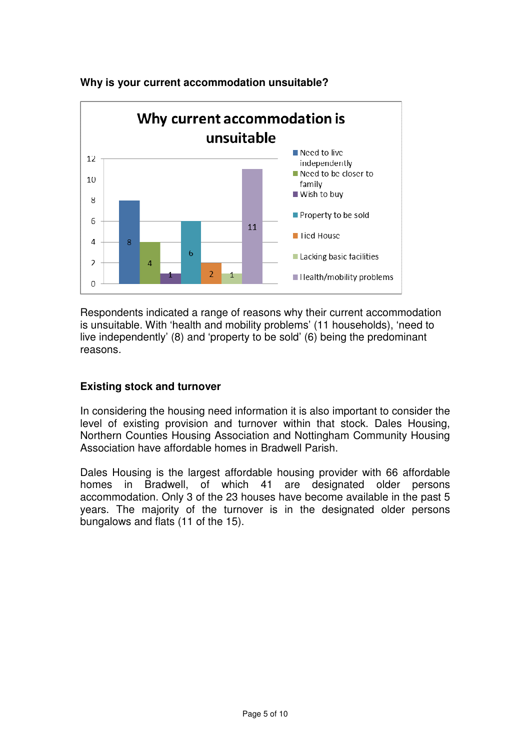

# **Why is your current accommodation unsuitable?**

 Respondents indicated a range of reasons why their current accommodation is unsuitable. With 'health and mobility problems' (11 households), 'need to live independently' (8) and 'property to be sold' (6) being the predominant reasons.

### **Existing stock and turnover**

 In considering the housing need information it is also important to consider the level of existing provision and turnover within that stock. Dales Housing, Northern Counties Housing Association and Nottingham Community Housing Association have affordable homes in Bradwell Parish.

 Dales Housing is the largest affordable housing provider with 66 affordable homes in Bradwell, of which 41 are designated older persons accommodation. Only 3 of the 23 houses have become available in the past 5 years. The majority of the turnover is in the designated older persons bungalows and flats (11 of the 15).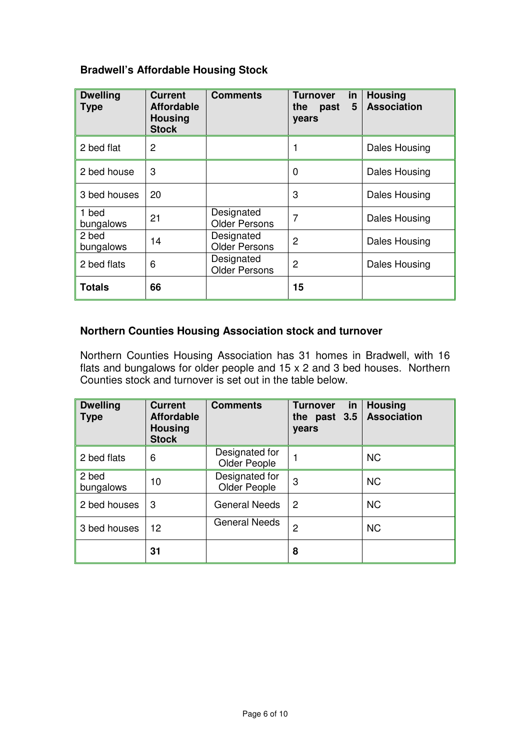### **Bradwell's Affordable Housing Stock**

| <b>Dwelling</b><br><b>Type</b> | <b>Current</b><br><b>Affordable</b><br><b>Housing</b><br><b>Stock</b> | <b>Comments</b>                         | <b>Turnover</b><br>in<br>5<br>the<br>past<br>years | <b>Housing</b><br><b>Association</b> |
|--------------------------------|-----------------------------------------------------------------------|-----------------------------------------|----------------------------------------------------|--------------------------------------|
| 2 bed flat                     | 2                                                                     |                                         |                                                    | Dales Housing                        |
| 2 bed house                    | 3                                                                     |                                         | 0                                                  | Dales Housing                        |
| 3 bed houses                   | 20                                                                    |                                         | 3                                                  | Dales Housing                        |
| 1 bed<br>bungalows             | 21                                                                    | Designated<br><b>Older Persons</b>      | 7                                                  | Dales Housing                        |
| 2 bed<br>bungalows             | 14                                                                    | Designated<br><b>Older Persons</b>      | 2                                                  | Dales Housing                        |
| 2 bed flats                    | 6                                                                     | Designated<br>2<br><b>Older Persons</b> |                                                    | Dales Housing                        |
| <b>Totals</b>                  | 66                                                                    |                                         | 15                                                 |                                      |

## **Northern Counties Housing Association stock and turnover**

 Counties stock and turnover is set out in the table below. Northern Counties Housing Association has 31 homes in Bradwell, with 16 flats and bungalows for older people and 15 x 2 and 3 bed houses. Northern

| <b>Dwelling</b><br><b>Type</b> | <b>Current</b><br><b>Affordable</b><br><b>Housing</b><br><b>Stock</b> | <b>Comments</b>                | in<br><b>Turnover</b><br>past 3.5<br>the<br>years | <b>Housing</b><br><b>Association</b> |
|--------------------------------|-----------------------------------------------------------------------|--------------------------------|---------------------------------------------------|--------------------------------------|
| 2 bed flats                    | 6                                                                     | Designated for<br>Older People |                                                   | <b>NC</b>                            |
| 2 bed<br>bungalows             | 10                                                                    | Designated for<br>Older People | 3                                                 | <b>NC</b>                            |
| 2 bed houses                   | 3                                                                     | <b>General Needs</b>           | 2                                                 | <b>NC</b>                            |
| 3 bed houses                   | 12.                                                                   | <b>General Needs</b>           | 2                                                 | <b>NC</b>                            |
|                                | 31                                                                    |                                | 8                                                 |                                      |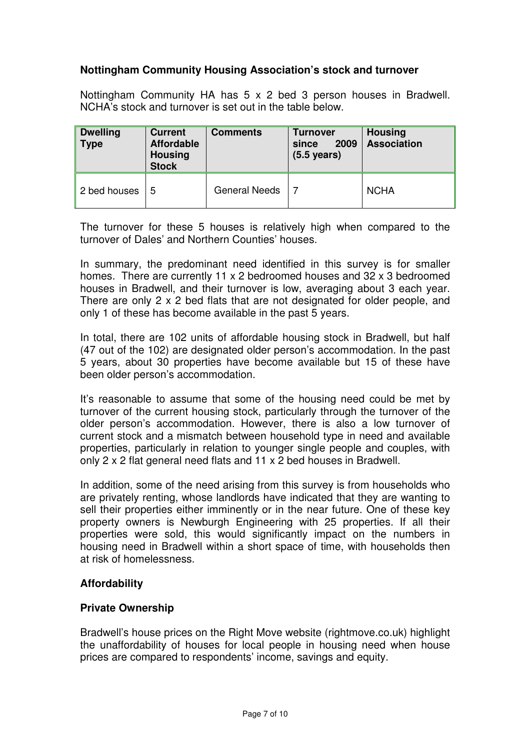### **Nottingham Community Housing Association's stock and turnover**

 Nottingham Community HA has 5 x 2 bed 3 person houses in Bradwell. NCHA's stock and turnover is set out in the table below.

| Dwelling<br>$\parallel$ Type | <b>Current</b><br><b>Affordable</b><br><b>Housing</b><br><b>Stock</b> | <b>Comments</b>      | Turnover<br>2009<br>since<br>$(5.5 \text{ years})$ | <b>Housing</b><br><b>Association</b> |  |  |
|------------------------------|-----------------------------------------------------------------------|----------------------|----------------------------------------------------|--------------------------------------|--|--|
| 2 bed houses                 | 5                                                                     | <b>General Needs</b> |                                                    | <b>NCHA</b>                          |  |  |

 The turnover for these 5 houses is relatively high when compared to the turnover of Dales' and Northern Counties' houses.

 In summary, the predominant need identified in this survey is for smaller homes. There are currently 11 x 2 bedroomed houses and 32 x 3 bedroomed houses in Bradwell, and their turnover is low, averaging about 3 each year. There are only 2 x 2 bed flats that are not designated for older people, and only 1 of these has become available in the past 5 years.

 In total, there are 102 units of affordable housing stock in Bradwell, but half (47 out of the 102) are designated older person's accommodation. In the past 5 years, about 30 properties have become available but 15 of these have been older person's accommodation.

 It's reasonable to assume that some of the housing need could be met by turnover of the current housing stock, particularly through the turnover of the older person's accommodation. However, there is also a low turnover of current stock and a mismatch between household type in need and available properties, particularly in relation to younger single people and couples, with only 2 x 2 flat general need flats and 11 x 2 bed houses in Bradwell.

 In addition, some of the need arising from this survey is from households who are privately renting, whose landlords have indicated that they are wanting to sell their properties either imminently or in the near future. One of these key property owners is Newburgh Engineering with 25 properties. If all their properties were sold, this would significantly impact on the numbers in housing need in Bradwell within a short space of time, with households then at risk of homelessness.

#### **Affordability**

#### **Private Ownership**

 Bradwell's house prices on the Right Move website ([rightmove.co.uk](https://rightmove.co.uk)) highlight the unaffordability of houses for local people in housing need when house prices are compared to respondents' income, savings and equity.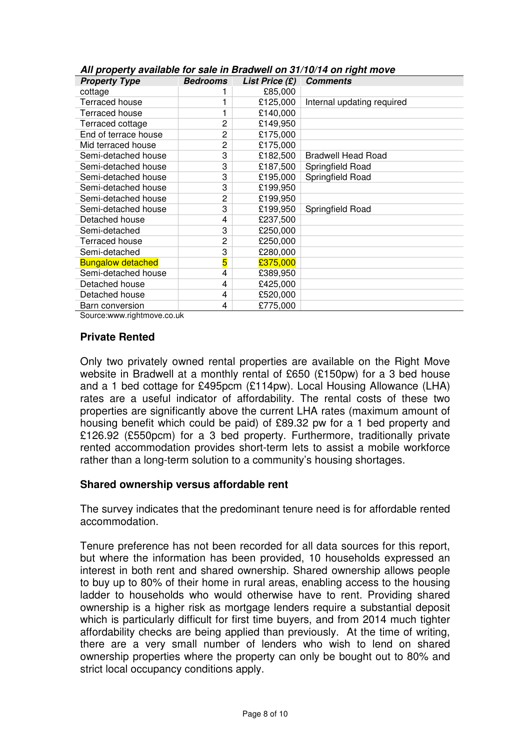| <b>Property Type</b>     | <b>Bedrooms</b> | List Price $(E)$ | <b>Comments</b>            |
|--------------------------|-----------------|------------------|----------------------------|
| cottage                  |                 | £85,000          |                            |
| Terraced house           |                 | £125,000         | Internal updating required |
| Terraced house           |                 | £140,000         |                            |
| Terraced cottage         | 2               | £149,950         |                            |
| End of terrace house     | 2               | £175,000         |                            |
| Mid terraced house       | 2               | £175,000         |                            |
| Semi-detached house      | 3               | £182,500         | <b>Bradwell Head Road</b>  |
| Semi-detached house      | 3               | £187,500         | Springfield Road           |
| Semi-detached house      | 3               | £195,000         | Springfield Road           |
| Semi-detached house      | 3               | £199,950         |                            |
| Semi-detached house      | 2               | £199,950         |                            |
| Semi-detached house      | 3               | £199,950         | Springfield Road           |
| Detached house           | 4               | £237,500         |                            |
| Semi-detached            | 3               | £250,000         |                            |
| Terraced house           | 2               | £250,000         |                            |
| Semi-detached            | 3               | £280,000         |                            |
| <b>Bungalow detached</b> | 5               | £375,000         |                            |
| Semi-detached house      | 4               | £389,950         |                            |
| Detached house           | 4               | £425,000         |                            |
| Detached house           | 4               | £520,000         |                            |
| Barn conversion          | 4               | £775,000         |                            |

|  |  |  | All property available for sale in Bradwell on 31/10/14 on right move |  |  |  |  |  |  |  |  |  |
|--|--|--|-----------------------------------------------------------------------|--|--|--|--|--|--|--|--|--|
|--|--|--|-----------------------------------------------------------------------|--|--|--|--|--|--|--|--|--|

[Source:www.rightmove.co.uk](https://Source:www.rightmove.co.uk)

### **Private Rented**

 Only two privately owned rental properties are available on the Right Move website in Bradwell at a monthly rental of £650 (£150pw) for a 3 bed house and a 1 bed cottage for £495pcm (£114pw). Local Housing Allowance (LHA) rates are a useful indicator of affordability. The rental costs of these two properties are significantly above the current LHA rates (maximum amount of housing benefit which could be paid) of £89.32 pw for a 1 bed property and £126.92 (£550pcm) for a 3 bed property. Furthermore, traditionally private rented accommodation provides short-term lets to assist a mobile workforce rather than a long-term solution to a community's housing shortages.

#### **Shared ownership versus affordable rent**

 The survey indicates that the predominant tenure need is for affordable rented accommodation.

 Tenure preference has not been recorded for all data sources for this report, but where the information has been provided, 10 households expressed an interest in both rent and shared ownership. Shared ownership allows people to buy up to 80% of their home in rural areas, enabling access to the housing ladder to households who would otherwise have to rent. Providing shared ownership is a higher risk as mortgage lenders require a substantial deposit which is particularly difficult for first time buyers, and from 2014 much tighter affordability checks are being applied than previously. At the time of writing, there are a very small number of lenders who wish to lend on shared ownership properties where the property can only be bought out to 80% and strict local occupancy conditions apply.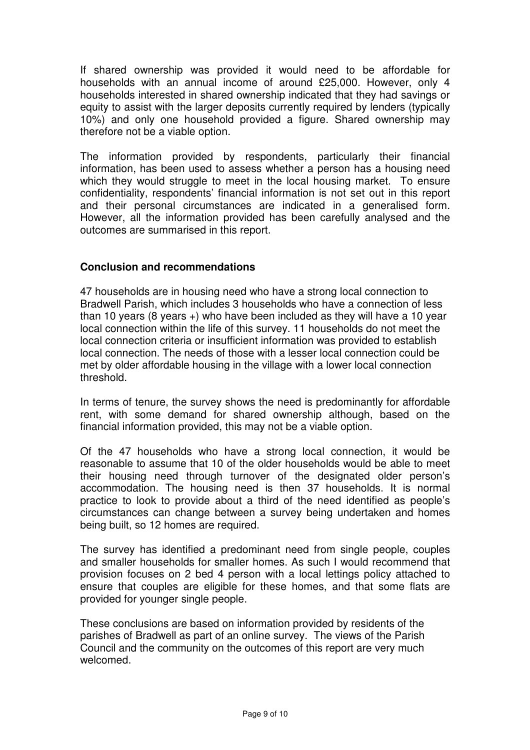If shared ownership was provided it would need to be affordable for households with an annual income of around £25,000. However, only 4 equity to assist with the larger deposits currently required by lenders (typically 10%) and only one household provided a figure. Shared ownership may therefore not be a viable option. households interested in shared ownership indicated that they had savings or

 The information provided by respondents, particularly their financial information, has been used to assess whether a person has a housing need which they would struggle to meet in the local housing market. To ensure confidentiality, respondents' financial information is not set out in this report and their personal circumstances are indicated in a generalised form. However, all the information provided has been carefully analysed and the outcomes are summarised in this report.

### **Conclusion and recommendations**

 47 households are in housing need who have a strong local connection to Bradwell Parish, which includes 3 households who have a connection of less than 10 years (8 years +) who have been included as they will have a 10 year local connection within the life of this survey. 11 households do not meet the local connection criteria or insufficient information was provided to establish local connection. The needs of those with a lesser local connection could be met by older affordable housing in the village with a lower local connection threshold.

 In terms of tenure, the survey shows the need is predominantly for affordable rent, with some demand for shared ownership although, based on the financial information provided, this may not be a viable option.

 Of the 47 households who have a strong local connection, it would be reasonable to assume that 10 of the older households would be able to meet their housing need through turnover of the designated older person's accommodation. The housing need is then 37 households. It is normal practice to look to provide about a third of the need identified as people's circumstances can change between a survey being undertaken and homes being built, so 12 homes are required.

 The survey has identified a predominant need from single people, couples and smaller households for smaller homes. As such I would recommend that provision focuses on 2 bed 4 person with a local lettings policy attached to ensure that couples are eligible for these homes, and that some flats are provided for younger single people.

 These conclusions are based on information provided by residents of the parishes of Bradwell as part of an online survey. The views of the Parish Council and the community on the outcomes of this report are very much welcomed welcomed.<br>Page 9 of 10